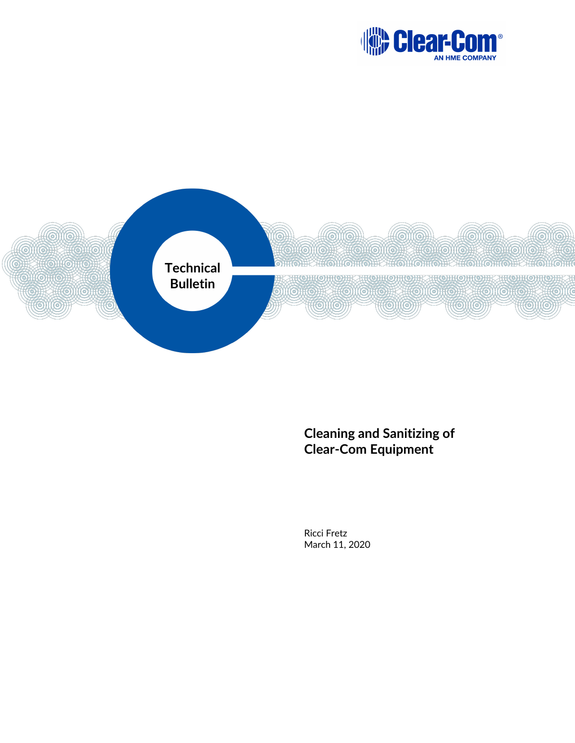



## **Cleaning and Sanitizing of Clear-Com Equipment**

Ricci Fretz March 11, 2020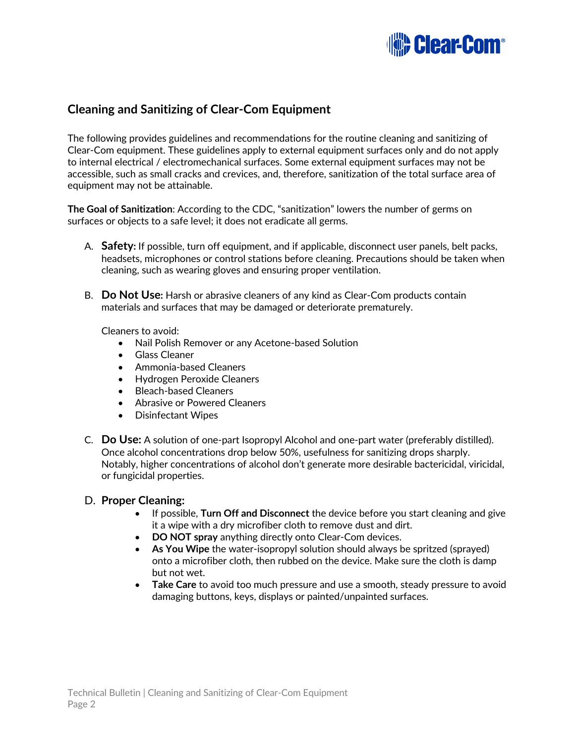

## **Cleaning and Sanitizing of Clear-Com Equipment**

The following provides guidelines and recommendations for the routine cleaning and sanitizing of Clear-Com equipment. These guidelines apply to external equipment surfaces only and do not apply to internal electrical / electromechanical surfaces. Some external equipment surfaces may not be accessible, such as small cracks and crevices, and, therefore, sanitization of the total surface area of equipment may not be attainable.

**The Goal of Sanitization**: According to the CDC, "sanitization" lowers the number of germs on surfaces or objects to a safe level; it does not eradicate all germs.

- A. **Safety:** If possible, turn off equipment, and if applicable, disconnect user panels, belt packs, headsets, microphones or control stations before cleaning. Precautions should be taken when cleaning, such as wearing gloves and ensuring proper ventilation.
- B. **Do Not Use:** Harsh or abrasive cleaners of any kind as Clear-Com products contain materials and surfaces that may be damaged or deteriorate prematurely.

Cleaners to avoid:

- Nail Polish Remover or any Acetone-based Solution
- Glass Cleaner
- Ammonia-based Cleaners
- Hydrogen Peroxide Cleaners
- Bleach-based Cleaners
- Abrasive or Powered Cleaners
- Disinfectant Wipes
- C. **Do Use:** A solution of one-part Isopropyl Alcohol and one-part water (preferably distilled). Once alcohol concentrations drop below 50%, usefulness for sanitizing drops sharply. Notably, higher concentrations of alcohol don't generate more desirable bactericidal, viricidal, or fungicidal properties.

## D. **Proper Cleaning:**

- If possible, **Turn Off and Disconnect** the device before you start cleaning and give it a wipe with a dry microfiber cloth to remove dust and dirt.
- **DO NOT spray** anything directly onto Clear-Com devices.
- **As You Wipe** the water-isopropyl solution should always be spritzed (sprayed) onto a microfiber cloth, then rubbed on the device. Make sure the cloth is damp but not wet.
- **Take Care** to avoid too much pressure and use a smooth, steady pressure to avoid damaging buttons, keys, displays or painted/unpainted surfaces.